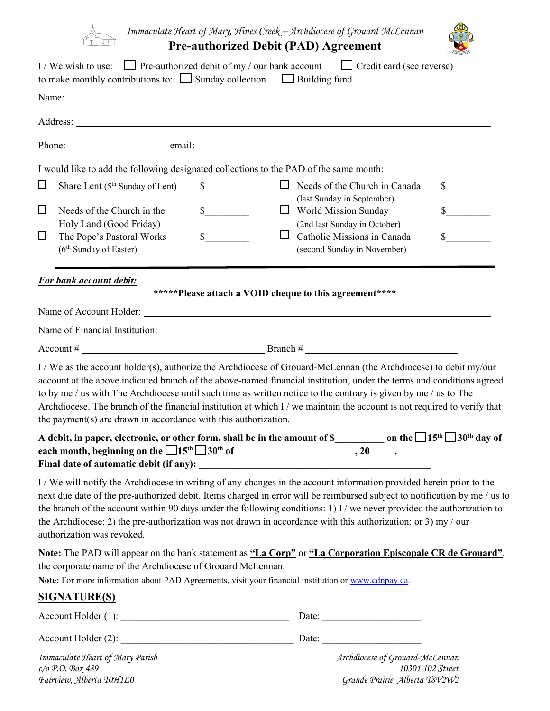

*Immaculate Heart of Mary, Hines Creek – Archdiocese of Grouard-McLennan*

| <b>Pre-authorized Debit (PAD) Agreement</b> |  |  |
|---------------------------------------------|--|--|
|---------------------------------------------|--|--|

|                  | I/We wish to use: Pre-authorized debit of my / our bank account Credit card (see reverse)<br>to make monthly contributions to: $\Box$ Sunday collection $\Box$ Building fund                                                                                                                                                                                                                                                                                                                                                                                |                                                        |                           |                                                                                                                          |                  |
|------------------|-------------------------------------------------------------------------------------------------------------------------------------------------------------------------------------------------------------------------------------------------------------------------------------------------------------------------------------------------------------------------------------------------------------------------------------------------------------------------------------------------------------------------------------------------------------|--------------------------------------------------------|---------------------------|--------------------------------------------------------------------------------------------------------------------------|------------------|
|                  |                                                                                                                                                                                                                                                                                                                                                                                                                                                                                                                                                             |                                                        |                           |                                                                                                                          |                  |
|                  |                                                                                                                                                                                                                                                                                                                                                                                                                                                                                                                                                             |                                                        |                           |                                                                                                                          |                  |
|                  |                                                                                                                                                                                                                                                                                                                                                                                                                                                                                                                                                             |                                                        |                           |                                                                                                                          |                  |
| $\Box$           | I would like to add the following designated collections to the PAD of the same month:<br>Share Lent (5 <sup>th</sup> Sunday of Lent)                                                                                                                                                                                                                                                                                                                                                                                                                       | $\mathbb{S}$                                           |                           | $\Box$ Needs of the Church in Canada                                                                                     | $\frac{1}{2}$    |
| $\Box$<br>$\Box$ | Needs of the Church in the<br>Holy Land (Good Friday)<br>The Pope's Pastoral Works<br>(6 <sup>th</sup> Sunday of Easter)                                                                                                                                                                                                                                                                                                                                                                                                                                    | s<br>$\frac{\sqrt{2}}{2}$                              | World Mission Sunday<br>ப | (last Sunday in September)<br>(2nd last Sunday in October)<br>Catholic Missions in Canada<br>(second Sunday in November) | $\sim$<br>$\sim$ |
|                  | For bank account debit:                                                                                                                                                                                                                                                                                                                                                                                                                                                                                                                                     | *****Please attach a VOID cheque to this agreement**** |                           |                                                                                                                          |                  |
|                  |                                                                                                                                                                                                                                                                                                                                                                                                                                                                                                                                                             |                                                        |                           |                                                                                                                          |                  |
|                  | Name of Financial Institution: 1999 and 2009 and 2009 and 2009 and 2009 and 2009 and 2009 and 2009 and 2009 and 2009 and 2009 and 2009 and 2009 and 2009 and 2009 and 2009 and 2009 and 2009 and 2009 and 2009 and 2009 and 20                                                                                                                                                                                                                                                                                                                              |                                                        |                           |                                                                                                                          |                  |
|                  | Account # $\qquad \qquad \qquad$ Branch # $\qquad \qquad$                                                                                                                                                                                                                                                                                                                                                                                                                                                                                                   |                                                        |                           |                                                                                                                          |                  |
|                  | I / We as the account holder(s), authorize the Archdiocese of Grouard-McLennan (the Archdiocese) to debit my/our<br>account at the above indicated branch of the above-named financial institution, under the terms and conditions agreed<br>to by me / us with The Archdiocese until such time as written notice to the contrary is given by me / us to The<br>Archdiocese. The branch of the financial institution at which I / we maintain the account is not required to verify that<br>the payment(s) are drawn in accordance with this authorization. |                                                        |                           |                                                                                                                          |                  |
|                  | A debit, in paper, electronic, or other form, shall be in the amount of \$____________ on the $\Box$ 15 <sup>th</sup> $\Box$ 30 <sup>th</sup> day of<br>Final date of automatic debit (if any):                                                                                                                                                                                                                                                                                                                                                             |                                                        |                           |                                                                                                                          |                  |
|                  | I/We will notify the Archdiocese in writing of any changes in the account information provided herein prior to the<br>next due date of the pre-authorized debit. Items charged in error will be reimbursed subject to notification by me / us to<br>the branch of the account within 90 days under the following conditions: 1) I / we never provided the authorization to<br>the Archdiocese; 2) the pre-authorization was not drawn in accordance with this authorization; or 3) my / our<br>authorization was revoked.                                   |                                                        |                           |                                                                                                                          |                  |
|                  | Note: The PAD will appear on the bank statement as "La Corp" or "La Corporation Episcopale CR de Grouard",<br>the corporate name of the Archdiocese of Grouard McLennan.<br>Note: For more information about PAD Agreements, visit your financial institution or www.cdnpay.ca.                                                                                                                                                                                                                                                                             |                                                        |                           |                                                                                                                          |                  |
|                  | <b>SIGNATURE(S)</b>                                                                                                                                                                                                                                                                                                                                                                                                                                                                                                                                         |                                                        |                           |                                                                                                                          |                  |
|                  |                                                                                                                                                                                                                                                                                                                                                                                                                                                                                                                                                             |                                                        |                           |                                                                                                                          |                  |
|                  |                                                                                                                                                                                                                                                                                                                                                                                                                                                                                                                                                             |                                                        |                           |                                                                                                                          |                  |
|                  | Immaculate Heart of Mary Parish<br>$c$ /o P.O. Box 489                                                                                                                                                                                                                                                                                                                                                                                                                                                                                                      |                                                        |                           | Archdiocese of Grouard-McLennan<br>10301 102 Street                                                                      |                  |

*Fairview, Alberta T0H1L0 Grande Prairie, Alberta T8V2W2*